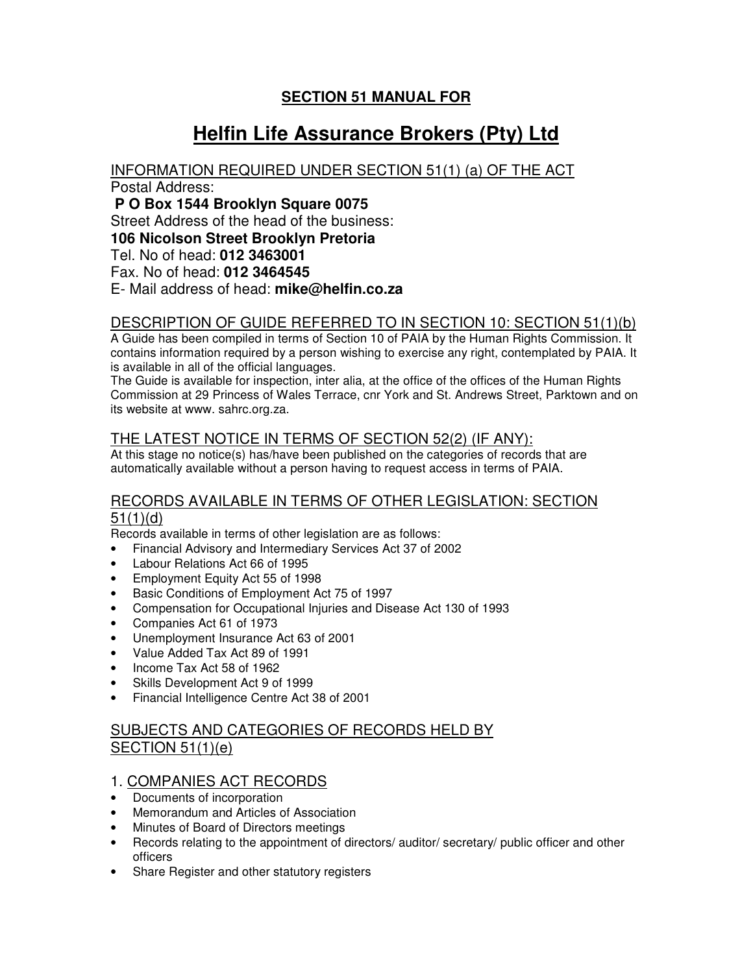## **SECTION 51 MANUAL FOR**

# **Helfin Life Assurance Brokers (Pty) Ltd**

# INFORMATION REQUIRED UNDER SECTION 51(1) (a) OF THE ACT

Postal Address:

**P O Box 1544 Brooklyn Square 0075**

Street Address of the head of the business:

**106 Nicolson Street Brooklyn Pretoria**

Tel. No of head: **012 3463001**

Fax. No of head: **012 3464545**

E- Mail address of head: **mike@helfin.co.za**

## DESCRIPTION OF GUIDE REFERRED TO IN SECTION 10: SECTION 51(1)(b)

A Guide has been compiled in terms of Section 10 of PAIA by the Human Rights Commission. It contains information required by a person wishing to exercise any right, contemplated by PAIA. It is available in all of the official languages.

The Guide is available for inspection, inter alia, at the office of the offices of the Human Rights Commission at 29 Princess of Wales Terrace, cnr York and St. Andrews Street, Parktown and on its website at www. sahrc.org.za.

## THE LATEST NOTICE IN TERMS OF SECTION 52(2) (IF ANY):

At this stage no notice(s) has/have been published on the categories of records that are automatically available without a person having to request access in terms of PAIA.

#### RECORDS AVAILABLE IN TERMS OF OTHER LEGISLATION: SECTION 51(1)(d)

Records available in terms of other legislation are as follows:

- Financial Advisory and Intermediary Services Act 37 of 2002
- Labour Relations Act 66 of 1995
- Employment Equity Act 55 of 1998
- Basic Conditions of Employment Act 75 of 1997
- Compensation for Occupational Injuries and Disease Act 130 of 1993
- Companies Act 61 of 1973
- Unemployment Insurance Act 63 of 2001
- Value Added Tax Act 89 of 1991
- Income Tax Act 58 of 1962
- Skills Development Act 9 of 1999
- Financial Intelligence Centre Act 38 of 2001

## SUBJECTS AND CATEGORIES OF RECORDS HELD BY SECTION 51(1)(e)

## 1. COMPANIES ACT RECORDS

- Documents of incorporation
- Memorandum and Articles of Association
- Minutes of Board of Directors meetings
- Records relating to the appointment of directors/ auditor/ secretary/ public officer and other officers
- Share Register and other statutory registers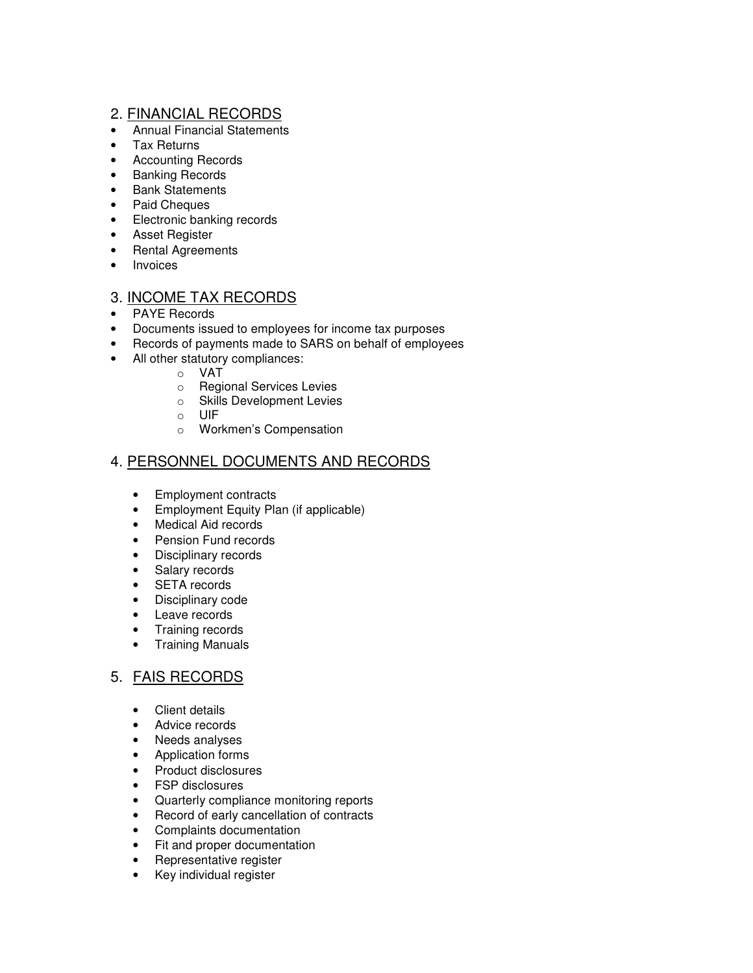#### 2. FINANCIAL RECORDS

- Annual Financial Statements
- Tax Returns
- Accounting Records
- Banking Records
- Bank Statements
- Paid Cheques
- Electronic banking records
- Asset Register
- Rental Agreements
- Invoices

#### 3. INCOME TAX RECORDS

- PAYE Records
- Documents issued to employees for income tax purposes
- Records of payments made to SARS on behalf of employees
- All other statutory compliances:
	- o VAT
	- o Regional Services Levies
	- o Skills Development Levies
	- o UIF
	- o Workmen's Compensation

#### 4. PERSONNEL DOCUMENTS AND RECORDS

- Employment contracts
- Employment Equity Plan (if applicable)
- Medical Aid records
- Pension Fund records
- Disciplinary records
- Salary records
- SETA records
- Disciplinary code
- Leave records
- Training records
- Training Manuals

## 5. FAIS RECORDS

- Client details
- Advice records
- Needs analyses
- Application forms
- Product disclosures
- FSP disclosures
- Quarterly compliance monitoring reports
- Record of early cancellation of contracts
- Complaints documentation
- Fit and proper documentation
- Representative register
- Key individual register